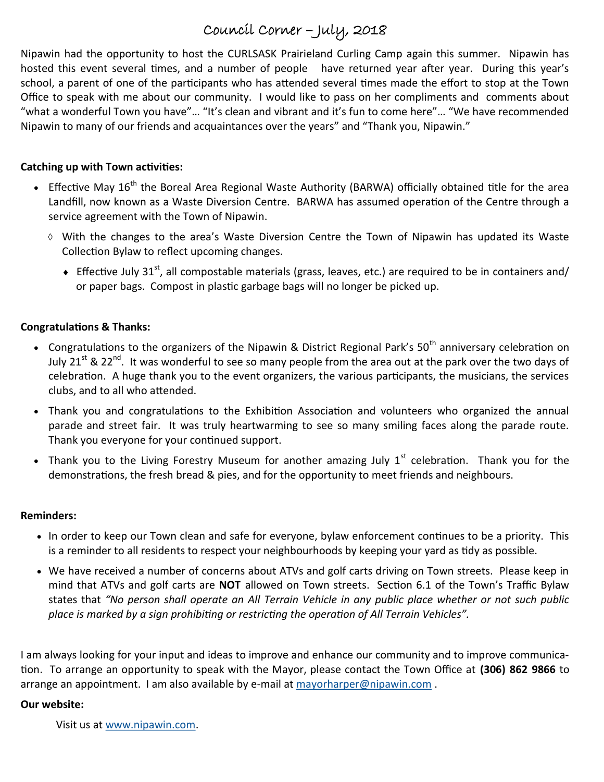# Council Corner – July, 2018

Nipawin had the opportunity to host the CURLSASK Prairieland Curling Camp again this summer. Nipawin has hosted this event several times, and a number of people have returned year after year. During this year's school, a parent of one of the participants who has attended several times made the effort to stop at the Town Office to speak with me about our community. I would like to pass on her compliments and comments about "what a wonderful Town you have"… "It's clean and vibrant and it's fun to come here"… "We have recommended Nipawin to many of our friends and acquaintances over the years" and "Thank you, Nipawin."

#### **Catching up with Town activities:**

- Effective Mav  $16^{th}$  the Boreal Area Regional Waste Authority (BARWA) officially obtained title for the area Landfill, now known as a Waste Diversion Centre. BARWA has assumed operation of the Centre through a service agreement with the Town of Nipawin.
	- With the changes to the area's Waste Diversion Centre the Town of Nipawin has updated its Waste Collection Bylaw to reflect upcoming changes.
		- Fffective July 31<sup>st</sup>, all compostable materials (grass, leaves, etc.) are required to be in containers and/ or paper bags. Compost in plastic garbage bags will no longer be picked up.

### **Congratulations & Thanks:**

- Congratulations to the organizers of the Nipawin & District Regional Park's 50<sup>th</sup> anniversary celebration on July 21<sup>st</sup> & 22<sup>nd</sup>. It was wonderful to see so many people from the area out at the park over the two days of celebration. A huge thank you to the event organizers, the various participants, the musicians, the services clubs, and to all who attended.
- Thank you and congratulations to the Exhibition Association and volunteers who organized the annual parade and street fair. It was truly heartwarming to see so many smiling faces along the parade route. Thank you everyone for your continued support.
- Thank you to the Living Forestry Museum for another amazing July  $1^{st}$  celebration. Thank you for the demonstrations, the fresh bread & pies, and for the opportunity to meet friends and neighbours.

#### **Reminders:**

- In order to keep our Town clean and safe for everyone, bylaw enforcement continues to be a priority. This is a reminder to all residents to respect your neighbourhoods by keeping your yard as tidy as possible.
- We have received a number of concerns about ATVs and golf carts driving on Town streets. Please keep in mind that ATVs and golf carts are **NOT** allowed on Town streets. Section 6.1 of the Town's Traffic Bylaw states that *"No person shall operate an All Terrain Vehicle in any public place whether or not such public place is marked by a sign prohibiting or restricting the operation of All Terrain Vehicles".*

I am always looking for your input and ideas to improve and enhance our community and to improve communication. To arrange an opportunity to speak with the Mayor, please contact the Town Office at **(306) 862 9866** to arrange an appointment. I am also available by e-mail at [mayorharper@nipawin.com](mailto:mayorharper@nipawin.com).

#### **Our website:**

Visit us at [www.nipawin.com.](http://www.nipawin.com)